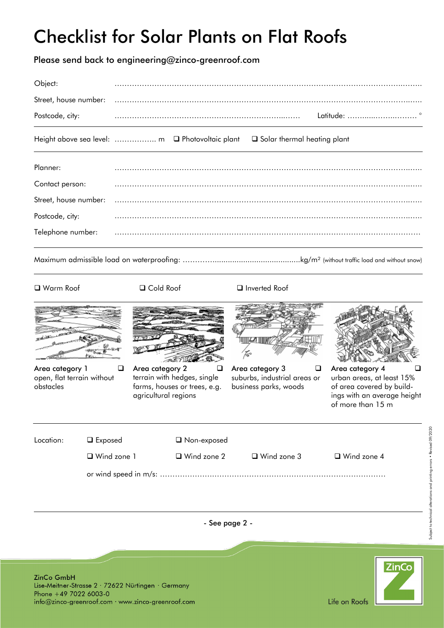## Checklist for Solar Plants on Flat Roofs

Please send back to engineering@zinco-greenroof.com

| Object:               |                                                                                  |
|-----------------------|----------------------------------------------------------------------------------|
| Street, house number: |                                                                                  |
| Postcode, city:       |                                                                                  |
|                       | Height above sea level:  m Q Photovoltaic plant<br>□ Solar thermal heating plant |
| Planner:              |                                                                                  |
| Contact person:       |                                                                                  |
| Street, house number: |                                                                                  |
| Postcode, city:       |                                                                                  |
| Telephone number:     |                                                                                  |
|                       |                                                                                  |



Area category 1 and  $\Box$ open, flat terrain without obstacles



Area category 2  $\qquad \qquad \Box$ terrain with hedges, single farms, houses or trees, e.g. agricultural regions

### □ Warm Roof □ Cold Roof □ Inverted Roof



Area category 3  $\qquad \Box$ suburbs, industrial areas or business parks, woods



Area category 4 and  $\Box$ urban areas, at least 15% of area covered by buildings with an average height of more than 15 m

| Location: | $\square$ Exposed  | □ Non-exposed      |                    |                    |  |
|-----------|--------------------|--------------------|--------------------|--------------------|--|
|           | $\Box$ Wind zone 1 | $\Box$ Wind zone 2 | $\Box$ Wind zone 3 | $\Box$ Wind zone 4 |  |
|           |                    |                    |                    |                    |  |

- See page 2 -

ZinCo GmbH Lise-Meitner-Strasse 2 · 72622 Nürtingen · Germany Phone +49 7022 6003-0 info@zinco-greenroof.com · www.zinco-greenroof.com



Subject to technical alterations and printing errors • Revised 09/2020

Subject to technical alterations and printing errors . Revised 09/2020

Life on Roofs